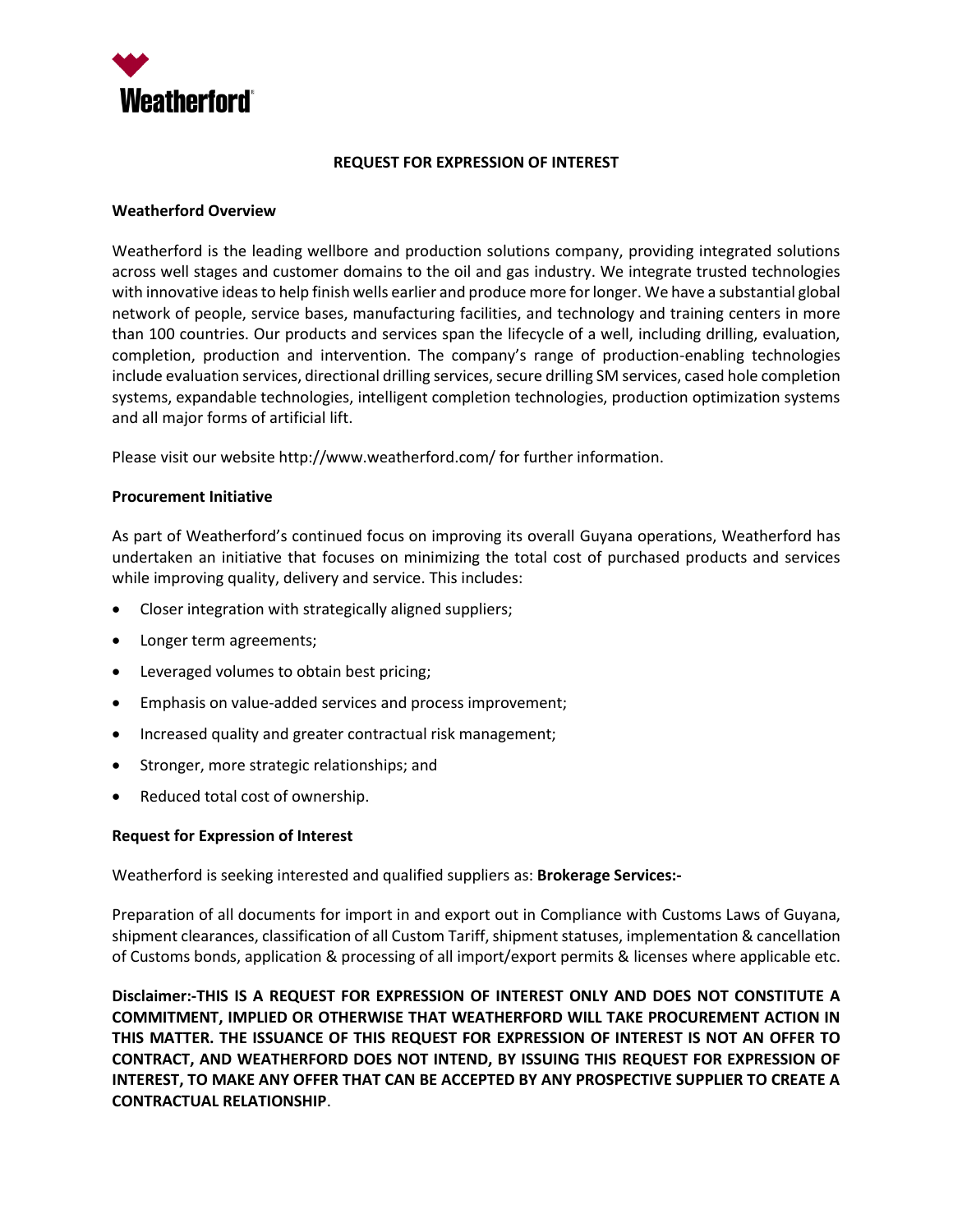

#### **REQUEST FOR EXPRESSION OF INTEREST**

### **Weatherford Overview**

Weatherford is the leading wellbore and production solutions company, providing integrated solutions across well stages and customer domains to the oil and gas industry. We integrate trusted technologies with innovative ideas to help finish wells earlier and produce more for longer. We have a substantial global network of people, service bases, manufacturing facilities, and technology and training centers in more than 100 countries. Our products and services span the lifecycle of a well, including drilling, evaluation, completion, production and intervention. The company's range of production-enabling technologies include evaluation services, directional drilling services, secure drilling SM services, cased hole completion systems, expandable technologies, intelligent completion technologies, production optimization systems and all major forms of artificial lift.

Please visit our website http://www.weatherford.com/ for further information.

### **Procurement Initiative**

As part of Weatherford's continued focus on improving its overall Guyana operations, Weatherford has undertaken an initiative that focuses on minimizing the total cost of purchased products and services while improving quality, delivery and service. This includes:

- Closer integration with strategically aligned suppliers;
- Longer term agreements;
- Leveraged volumes to obtain best pricing;
- Emphasis on value-added services and process improvement;
- Increased quality and greater contractual risk management;
- Stronger, more strategic relationships; and
- Reduced total cost of ownership.

#### **Request for Expression of Interest**

Weatherford is seeking interested and qualified suppliers as: **Brokerage Services:-**

Preparation of all documents for import in and export out in Compliance with Customs Laws of Guyana, shipment clearances, classification of all Custom Tariff, shipment statuses, implementation & cancellation of Customs bonds, application & processing of all import/export permits & licenses where applicable etc.

**Disclaimer:-THIS IS A REQUEST FOR EXPRESSION OF INTEREST ONLY AND DOES NOT CONSTITUTE A COMMITMENT, IMPLIED OR OTHERWISE THAT WEATHERFORD WILL TAKE PROCUREMENT ACTION IN THIS MATTER. THE ISSUANCE OF THIS REQUEST FOR EXPRESSION OF INTEREST IS NOT AN OFFER TO CONTRACT, AND WEATHERFORD DOES NOT INTEND, BY ISSUING THIS REQUEST FOR EXPRESSION OF INTEREST, TO MAKE ANY OFFER THAT CAN BE ACCEPTED BY ANY PROSPECTIVE SUPPLIER TO CREATE A CONTRACTUAL RELATIONSHIP**.